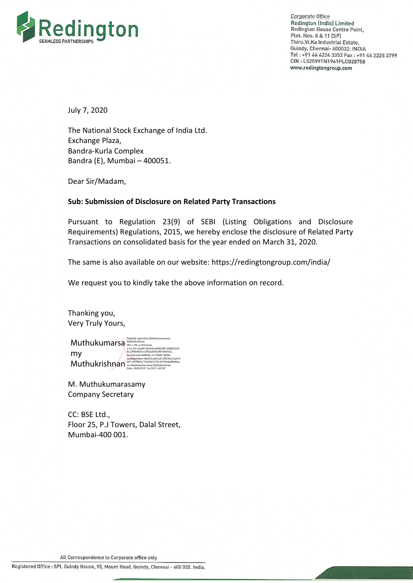

**Corporate Office** Redington (India) Limited Redington House Centre Point. Plot. Nos. 8 & 11 (SP) Thiru.Vi.Ka Industrial Estate, Guindy, Chennai- 600032. INDIA Tel: +91 44 4224 3353 Fax: +91 44 2225 3799 CIN: L52599TN1961PLC028758 www.redingtongroup.com

July 7, 2020

The National Stock Exchange of India Ltd. Exchange Plaza, Bandra-Kurla Complex Bandra (E), Mumbai – 400051.

Dear Sir/Madam,

## **Sub: Submission of Disclosure on Related Party Transactions**

Pursuant to Regulation 23(9) of SEBI (Listing Obligations and Disclosure Requirements) Regulations, 2015, we hereby enclose the disclosure of Related Party Transactions on consolidated basis for the year ended on March 31, 2020.

The same is also available on our website:<https://redingtongroup.com/india/>

We request you to kindly take the above information on record.

Thanking you, Very Truly Yours,

Muthukumarsa my SerialNumber=0bd23ce8d1a012ff23bc25a410<br>
Muthukumarsamy Muthukishnan<br>
Date: 2020.07.07 16:29:57 +05'30' Digitally signed by Muthukumarsamy<br>Muthukrishnan<br>DN: c=IN, o=Personal,<br>2.5.4.20=e5a041bf2dcbc66f92d81340b03352<br>8c22f486fd35c23f82a839a3f0104ef352,<br>postalCode=600028, st=TAMIL NADU,

M. Muthukumarasamy Company Secretary

CC: BSE Ltd., Floor 25, P.J Towers, Dalal Street, Mumbai-400 001.

All Correspondence to Corporate office only

Registered Office : SPL Guindy House, 95, Mount Road, Guindy, Chennai - 600 032. India.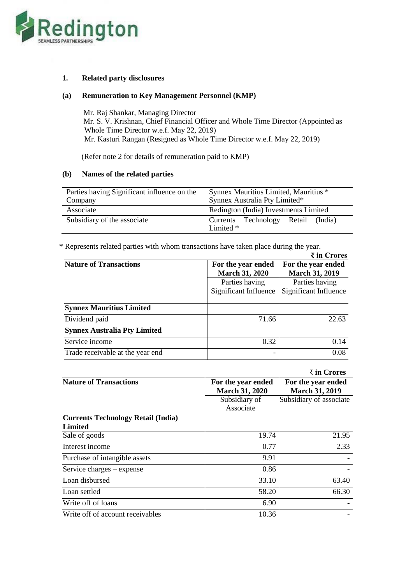

### **1. Related party disclosures**

# **(a) Remuneration to Key Management Personnel (KMP)**

Mr. Raj Shankar, Managing Director Mr. S. V. Krishnan, Chief Financial Officer and Whole Time Director (Appointed as Whole Time Director w.e.f. May 22, 2019) Mr. Kasturi Rangan (Resigned as Whole Time Director w.e.f. May 22, 2019)

(Refer note 2 for details of remuneration paid to KMP)

### **(b) Names of the related parties**

| Parties having Significant influence on the<br>Company | Synnex Mauritius Limited, Mauritius *<br>Synnex Australia Pty Limited* |  |
|--------------------------------------------------------|------------------------------------------------------------------------|--|
| Associate                                              | Redington (India) Investments Limited                                  |  |
| Subsidiary of the associate                            | Currents Technology Retail (India)<br>Limited $*$                      |  |

\* Represents related parties with whom transactions have taken place during the year.

|                                     |                                             | ₹ in Crores                                 |
|-------------------------------------|---------------------------------------------|---------------------------------------------|
| <b>Nature of Transactions</b>       | For the year ended<br><b>March 31, 2020</b> | For the year ended<br><b>March 31, 2019</b> |
|                                     | Parties having                              | Parties having                              |
|                                     | Significant Influence                       | Significant Influence                       |
| <b>Synnex Mauritius Limited</b>     |                                             |                                             |
| Dividend paid                       | 71.66                                       | 22.63                                       |
| <b>Synnex Australia Pty Limited</b> |                                             |                                             |
| Service income                      | 0.32                                        | 0.14                                        |
| Trade receivable at the year end    |                                             | 0.08                                        |

|                                                      |                                             | $\bar{z}$ in Crores                         |
|------------------------------------------------------|---------------------------------------------|---------------------------------------------|
| <b>Nature of Transactions</b>                        | For the year ended<br><b>March 31, 2020</b> | For the year ended<br><b>March 31, 2019</b> |
|                                                      | Subsidiary of<br>Associate                  | Subsidiary of associate                     |
| <b>Currents Technology Retail (India)</b><br>Limited |                                             |                                             |
| Sale of goods                                        | 19.74                                       | 21.95                                       |
| Interest income                                      | 0.77                                        | 2.33                                        |
| Purchase of intangible assets                        | 9.91                                        |                                             |
| Service charges – expense                            | 0.86                                        |                                             |
| Loan disbursed                                       | 33.10                                       | 63.40                                       |
| Loan settled                                         | 58.20                                       | 66.30                                       |
| Write off of loans                                   | 6.90                                        |                                             |
| Write off of account receivables                     | 10.36                                       |                                             |